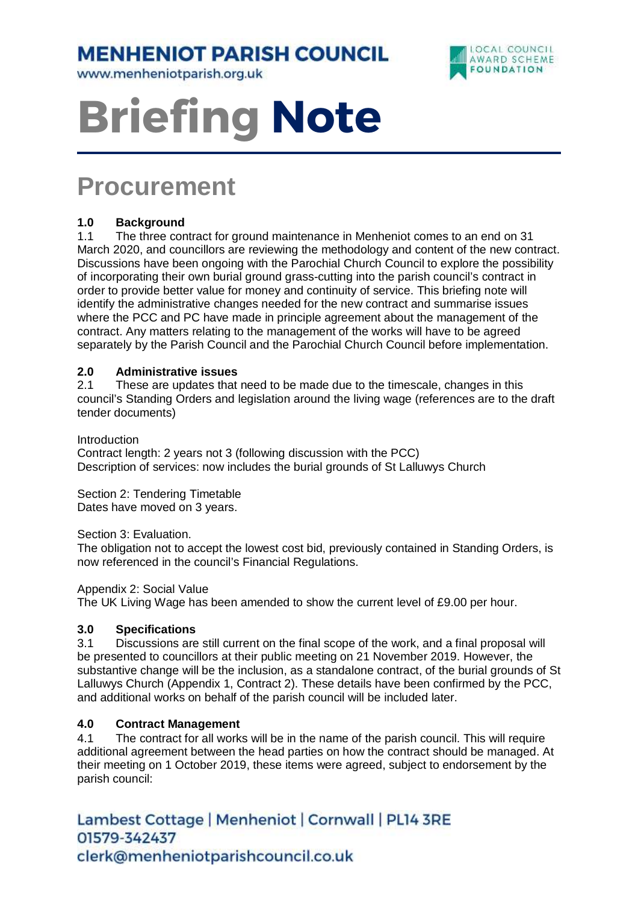**MENHENIOT PARISH COUNCIL** 

www.menheniotparish.org.uk



# **Briefing Note**

# **Procurement**

## **1.0 Background**

1.1 The three contract for ground maintenance in Menheniot comes to an end on 31 March 2020, and councillors are reviewing the methodology and content of the new contract. Discussions have been ongoing with the Parochial Church Council to explore the possibility of incorporating their own burial ground grass-cutting into the parish council's contract in order to provide better value for money and continuity of service. This briefing note will identify the administrative changes needed for the new contract and summarise issues where the PCC and PC have made in principle agreement about the management of the contract. Any matters relating to the management of the works will have to be agreed separately by the Parish Council and the Parochial Church Council before implementation.

### **2.0 Administrative issues**

2.1 These are updates that need to be made due to the timescale, changes in this council's Standing Orders and legislation around the living wage (references are to the draft tender documents)

Introduction

Contract length: 2 years not 3 (following discussion with the PCC) Description of services: now includes the burial grounds of St Lalluwys Church

Section 2: Tendering Timetable Dates have moved on 3 years.

Section 3: Evaluation.

The obligation not to accept the lowest cost bid, previously contained in Standing Orders, is now referenced in the council's Financial Regulations.

Appendix 2: Social Value

The UK Living Wage has been amended to show the current level of £9.00 per hour.

#### **3.0 Specifications**

3.1 Discussions are still current on the final scope of the work, and a final proposal will be presented to councillors at their public meeting on 21 November 2019. However, the substantive change will be the inclusion, as a standalone contract, of the burial grounds of St Lalluwys Church (Appendix 1, Contract 2). These details have been confirmed by the PCC, and additional works on behalf of the parish council will be included later.

#### **4.0 Contract Management**

4.1 The contract for all works will be in the name of the parish council. This will require additional agreement between the head parties on how the contract should be managed. At their meeting on 1 October 2019, these items were agreed, subject to endorsement by the parish council:

Lambest Cottage | Menheniot | Cornwall | PL14 3RE 01579-342437 clerk@menheniotparishcouncil.co.uk